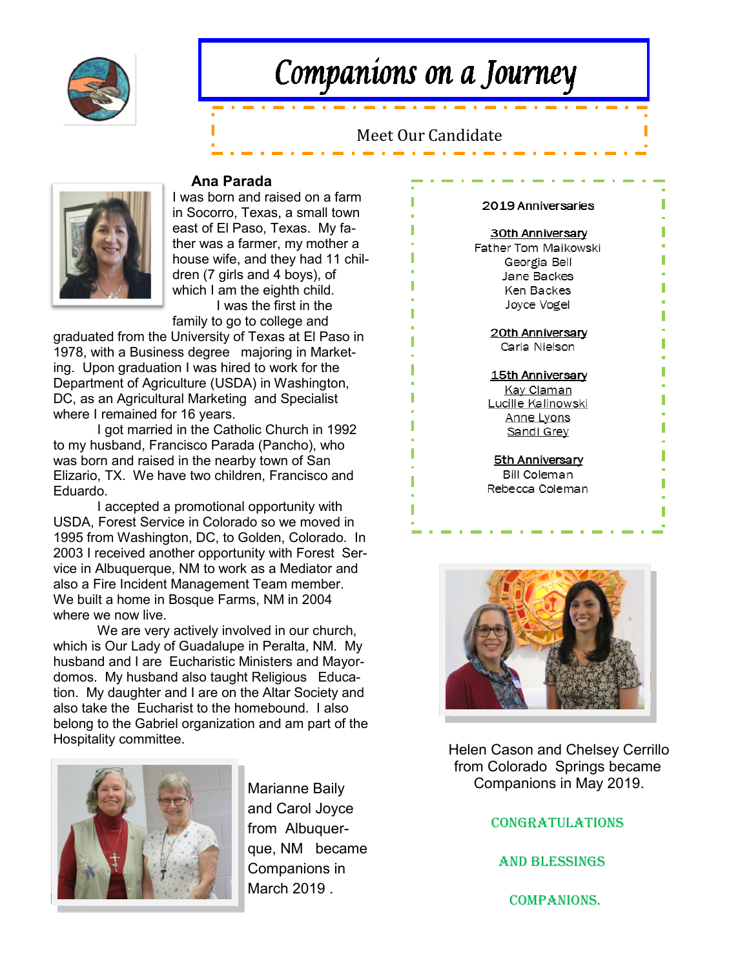

# Companions on a Journey

# Meet Our Candidate



### **Ana Parada**

I was born and raised on a farm in Socorro, Texas, a small town east of El Paso, Texas. My father was a farmer, my mother a house wife, and they had 11 children (7 girls and 4 boys), of which I am the eighth child.

I was the first in the family to go to college and

graduated from the University of Texas at El Paso in 1978, with a Business degree majoring in Marketing. Upon graduation I was hired to work for the Department of Agriculture (USDA) in Washington, DC, as an Agricultural Marketing and Specialist where I remained for 16 years.

I got married in the Catholic Church in 1992 to my husband, Francisco Parada (Pancho), who was born and raised in the nearby town of San Elizario, TX. We have two children, Francisco and Eduardo.

I accepted a promotional opportunity with USDA, Forest Service in Colorado so we moved in 1995 from Washington, DC, to Golden, Colorado. In 2003 I received another opportunity with Forest Service in Albuquerque, NM to work as a Mediator and also a Fire Incident Management Team member. We built a home in Bosque Farms, NM in 2004 where we now live.

We are very actively involved in our church, which is Our Lady of Guadalupe in Peralta, NM. My husband and I are Eucharistic Ministers and Mayordomos. My husband also taught Religious Education. My daughter and I are on the Altar Society and also take the Eucharist to the homebound. I also belong to the Gabriel organization and am part of the Hospitality committee.



Marianne Baily and Carol Joyce from Albuquerque, NM became Companions in March 2019 .

#### 2019 Anniversaries

#### 30th Anniversary

Father Tom Maikowski Georgia Bell Jane Backes Ken Backes Joyce Vogel

> 20th Anniversary Carla Nielson

#### 15th Anniversary

Kay Claman Lucille Kalinowski Anne Lyons Sandi Grey

5th Anniversary **Bill Coleman** Rebecca Coleman



 Helen Cason and Chelsey Cerrillo from Colorado Springs became Companions in May 2019.

**CONGRATULATIONS** 

And Blessings

companions.